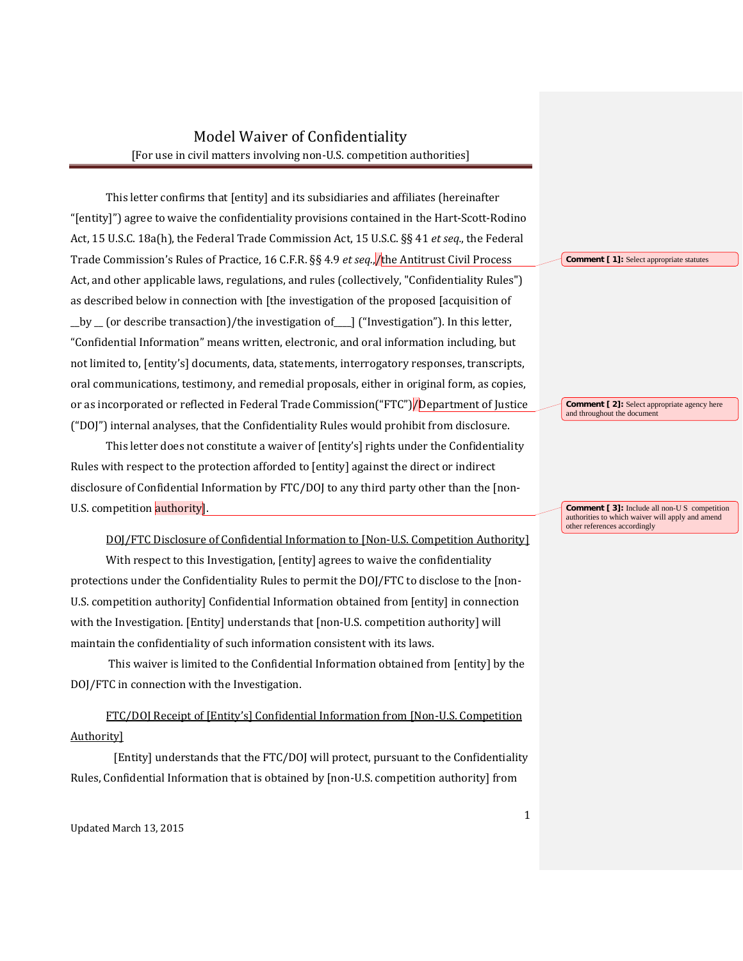## Model Waiver of Confidentiality [For use in civil matters involving non-U.S. competition authorities]

This letter confirms that [entity] and its subsidiaries and affiliates (hereinafter "[entity]") agree to waive the confidentiality provisions contained in the Hart-Scott-Rodino Act, 15 U.S.C. 18a(h), the Federal Trade Commission Act, 15 U.S.C. §§ 41 *et seq.*, the Federal Trade Commission's Rules of Practice, 16 C.F.R. §§ 4.9 *et seq.*, the Antitrust Civil Process **Comment [1]**: Select appropriate statutes Act, and other applicable laws, regulations, and rules (collectively, "Confidentiality Rules") as described below in connection with [the investigation of the proposed [acquisition of  $_b$   $\mu$   $\sigma$  (or describe transaction)/the investigation of  $\sigma$  is ("Investigation"). In this letter, "Confidential Information" means written, electronic, and oral information including, but not limited to, [entity's] documents, data, statements, interrogatory responses, transcripts, oral communications, testimony, and remedial proposals, either in original form, as copies, or as incorporated or reflected in Federal Trade Commission("FTC") **Department of Justice** Comment [2]: Select appropriate a general terms of and throughout the document ("DOJ") internal analyses, that the Confidentiality Rules would prohibit from disclosure.

This letter does not constitute a waiver of [entity's] rights under the Confidentiality Rules with respect to the protection afforded to [entity] against the direct or indirect disclosure of Confidential Information by FTC/DOJ to any third party other than the [non-U.S. competition authority.

DOJ/FTC Disclosure of Confidential Information to [Non-U.S. Competition Authority]

With respect to this Investigation, [entity] agrees to waive the confidentiality protections under the Confidentiality Rules to permit the DOJ/FTC to disclose to the [non-U.S. competition authority] Confidential Information obtained from [entity] in connection with the Investigation. [Entity] understands that [non-U.S. competition authority] will maintain the confidentiality of such information consistent with its laws.

DOJ/FTC in connection with the Investigation. This waiver is limited to the Confidential Information obtained from [entity] by the

FTC/DOJ Receipt of [Entity's] Confidential Information from [Non-U.S. Competition Authority]

[Entity] understands that the FTC/DOJ will protect, pursuant to the Confidentiality Rules, Confidential Information that is obtained by [non-U.S. competition authority] from

Comment [ 2]: Select appropriate agency here

**Comment [ 3]:** Include all non-U S competition authorities to which waiver will apply and amend other references accordingly

Updated March 13, 2015